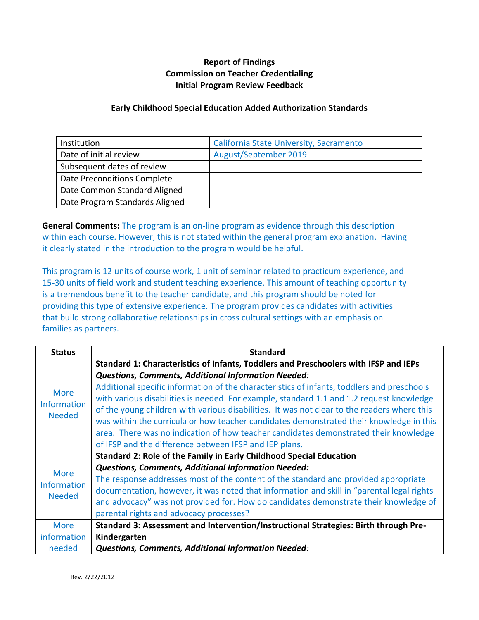## **Report of Findings Commission on Teacher Credentialing Initial Program Review Feedback**

## **Early Childhood Special Education Added Authorization Standards**

| Institution                    | California State University, Sacramento |
|--------------------------------|-----------------------------------------|
| Date of initial review         | August/September 2019                   |
| Subsequent dates of review     |                                         |
| Date Preconditions Complete    |                                         |
| Date Common Standard Aligned   |                                         |
| Date Program Standards Aligned |                                         |

**General Comments:** The program is an on-line program as evidence through this description within each course. However, this is not stated within the general program explanation. Having it clearly stated in the introduction to the program would be helpful.

This program is 12 units of course work, 1 unit of seminar related to practicum experience, and 15-30 units of field work and student teaching experience. This amount of teaching opportunity is a tremendous benefit to the teacher candidate, and this program should be noted for providing this type of extensive experience. The program provides candidates with activities that build strong collaborative relationships in cross cultural settings with an emphasis on families as partners.

| <b>Status</b>                                      | <b>Standard</b>                                                                             |
|----------------------------------------------------|---------------------------------------------------------------------------------------------|
| <b>More</b><br><b>Information</b><br><b>Needed</b> | Standard 1: Characteristics of Infants, Toddlers and Preschoolers with IFSP and IEPs        |
|                                                    | <b>Questions, Comments, Additional Information Needed:</b>                                  |
|                                                    | Additional specific information of the characteristics of infants, toddlers and preschools  |
|                                                    | with various disabilities is needed. For example, standard 1.1 and 1.2 request knowledge    |
|                                                    | of the young children with various disabilities. It was not clear to the readers where this |
|                                                    | was within the curricula or how teacher candidates demonstrated their knowledge in this     |
|                                                    | area. There was no indication of how teacher candidates demonstrated their knowledge        |
|                                                    | of IFSP and the difference between IFSP and IEP plans.                                      |
| <b>More</b><br><b>Information</b><br><b>Needed</b> | Standard 2: Role of the Family in Early Childhood Special Education                         |
|                                                    | <b>Questions, Comments, Additional Information Needed:</b>                                  |
|                                                    | The response addresses most of the content of the standard and provided appropriate         |
|                                                    | documentation, however, it was noted that information and skill in "parental legal rights   |
|                                                    | and advocacy" was not provided for. How do candidates demonstrate their knowledge of        |
|                                                    | parental rights and advocacy processes?                                                     |
| <b>More</b>                                        | Standard 3: Assessment and Intervention/Instructional Strategies: Birth through Pre-        |
| information                                        | Kindergarten                                                                                |
| needed                                             | <b>Questions, Comments, Additional Information Needed:</b>                                  |